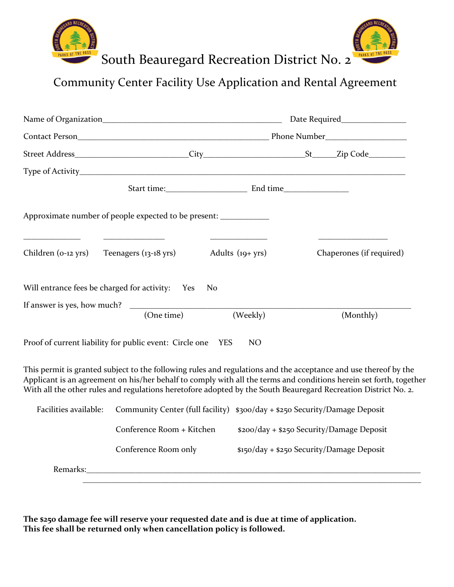

Community Center Facility Use Application and Rental Agreement

|                       | Approximate number of people expected to be present: ____________     |                     |                                                                                                                                                                                                                                                                                                                                                         |  |  |  |
|-----------------------|-----------------------------------------------------------------------|---------------------|---------------------------------------------------------------------------------------------------------------------------------------------------------------------------------------------------------------------------------------------------------------------------------------------------------------------------------------------------------|--|--|--|
|                       | Children (0-12 yrs) Teenagers (13-18 yrs)                             | Adults $(19 + yrs)$ | Chaperones (if required)                                                                                                                                                                                                                                                                                                                                |  |  |  |
|                       | Will entrance fees be charged for activity: Yes                       | N <sub>0</sub>      |                                                                                                                                                                                                                                                                                                                                                         |  |  |  |
|                       | If answer is yes, how much? $\overline{\qquad \qquad }$ (One time) (V | (Weekly)            | (Monthly)                                                                                                                                                                                                                                                                                                                                               |  |  |  |
|                       | Proof of current liability for public event: Circle one YES           | NO                  |                                                                                                                                                                                                                                                                                                                                                         |  |  |  |
|                       |                                                                       |                     | This permit is granted subject to the following rules and regulations and the acceptance and use thereof by the<br>Applicant is an agreement on his/her behalf to comply with all the terms and conditions herein set forth, together<br>With all the other rules and regulations heretofore adopted by the South Beauregard Recreation District No. 2. |  |  |  |
| Facilities available: |                                                                       |                     | Community Center (full facility) \$300/day + \$250 Security/Damage Deposit                                                                                                                                                                                                                                                                              |  |  |  |
|                       | Conference Room + Kitchen                                             |                     | \$200/day + \$250 Security/Damage Deposit                                                                                                                                                                                                                                                                                                               |  |  |  |
|                       | Conference Room only                                                  |                     | \$150/day + \$250 Security/Damage Deposit                                                                                                                                                                                                                                                                                                               |  |  |  |
|                       |                                                                       |                     | Remarks: National Accounts and Accounts are a series of the series of the series of the series of the series of the series of the series of the series of the series of the series of the series of the series of the series o                                                                                                                          |  |  |  |
|                       |                                                                       |                     |                                                                                                                                                                                                                                                                                                                                                         |  |  |  |

**The \$250 damage fee will reserve your requested date and is due at time of application. This fee shall be returned only when cancellation policy is followed.**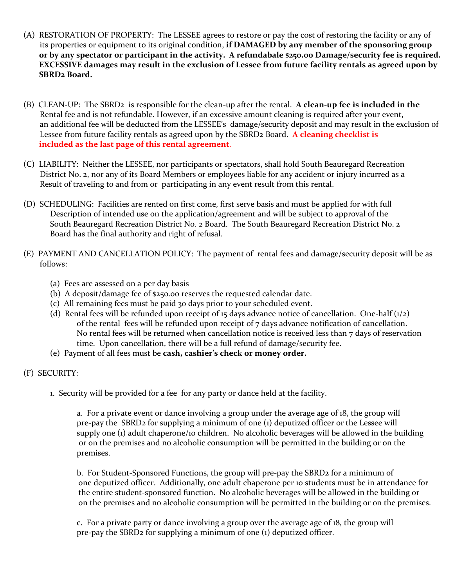- (A) RESTORATION OF PROPERTY: The LESSEE agrees to restore or pay the cost of restoring the facility or any of its properties or equipment to its original condition, **if DAMAGED by any member of the sponsoring group or by any spectator or participant in the activity. A refundabale \$250.00 Damage/security fee is required. EXCESSIVE damages may result in the exclusion of Lessee from future facility rentals as agreed upon by SBRD2 Board.**
- (B) CLEAN-UP: The SBRD2 is responsible for the clean-up after the rental. **A clean-up fee is included in the**  Rental fee and is not refundable. However, if an excessive amount cleaning is required after your event, an additional fee will be deducted from the LESSEE's damage/security deposit and may result in the exclusion of Lessee from future facility rentals as agreed upon by the SBRD2 Board. **A cleaning checklist is included as the last page of this rental agreement**.
- (C) LIABILITY: Neither the LESSEE, nor participants or spectators, shall hold South Beauregard Recreation District No. 2, nor any of its Board Members or employees liable for any accident or injury incurred as a Result of traveling to and from or participating in any event result from this rental.
- (D) SCHEDULING: Facilities are rented on first come, first serve basis and must be applied for with full Description of intended use on the application/agreement and will be subject to approval of the South Beauregard Recreation District No. 2 Board. The South Beauregard Recreation District No. 2 Board has the final authority and right of refusal.
- (E) PAYMENT AND CANCELLATION POLICY: The payment of rental fees and damage/security deposit will be as follows:
	- (a) Fees are assessed on a per day basis
	- (b) A deposit/damage fee of \$250.00 reserves the requested calendar date.
	- (c) All remaining fees must be paid 30 days prior to your scheduled event.
	- (d) Rental fees will be refunded upon receipt of 15 days advance notice of cancellation. One-half  $(1/2)$ of the rental fees will be refunded upon receipt of 7 days advance notification of cancellation. No rental fees will be returned when cancellation notice is received less than 7 days of reservation time. Upon cancellation, there will be a full refund of damage/security fee.
	- (e) Payment of all fees must be **cash, cashier's check or money order.**
- (F) SECURITY:
	- 1. Security will be provided for a fee for any party or dance held at the facility.

a. For a private event or dance involving a group under the average age of 18, the group will pre-pay the SBRD2 for supplying a minimum of one (1) deputized officer or the Lessee will supply one (1) adult chaperone/10 children. No alcoholic beverages will be allowed in the building or on the premises and no alcoholic consumption will be permitted in the building or on the premises.

b. For Student-Sponsored Functions, the group will pre-pay the SBRD2 for a minimum of one deputized officer. Additionally, one adult chaperone per 10 students must be in attendance for the entire student-sponsored function. No alcoholic beverages will be allowed in the building or on the premises and no alcoholic consumption will be permitted in the building or on the premises.

c. For a private party or dance involving a group over the average age of 18, the group will pre-pay the SBRD2 for supplying a minimum of one (1) deputized officer.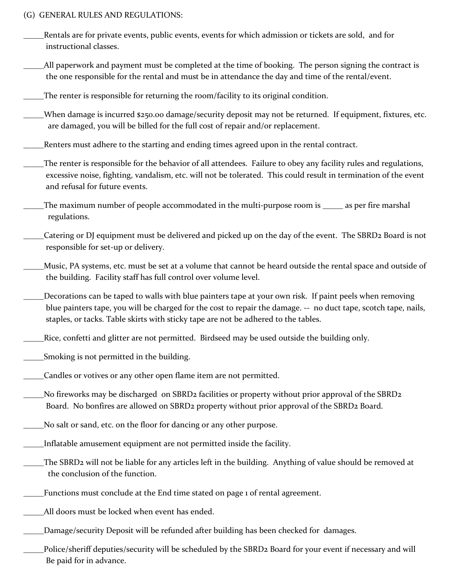## (G) GENERAL RULES AND REGULATIONS:

| Rentals are for private events, public events, events for which admission or tickets are sold, and for<br>instructional classes.                                                                                                                                                                                  |
|-------------------------------------------------------------------------------------------------------------------------------------------------------------------------------------------------------------------------------------------------------------------------------------------------------------------|
| All paperwork and payment must be completed at the time of booking. The person signing the contract is<br>the one responsible for the rental and must be in attendance the day and time of the rental/event.                                                                                                      |
| The renter is responsible for returning the room/facility to its original condition.                                                                                                                                                                                                                              |
| When damage is incurred \$250.00 damage/security deposit may not be returned. If equipment, fixtures, etc.<br>are damaged, you will be billed for the full cost of repair and/or replacement.                                                                                                                     |
| Renters must adhere to the starting and ending times agreed upon in the rental contract.                                                                                                                                                                                                                          |
| The renter is responsible for the behavior of all attendees. Failure to obey any facility rules and regulations,<br>excessive noise, fighting, vandalism, etc. will not be tolerated. This could result in termination of the event<br>and refusal for future events.                                             |
| The maximum number of people accommodated in the multi-purpose room is _____ as per fire marshal<br>regulations.                                                                                                                                                                                                  |
| Catering or DJ equipment must be delivered and picked up on the day of the event. The SBRD2 Board is not<br>responsible for set-up or delivery.                                                                                                                                                                   |
| Music, PA systems, etc. must be set at a volume that cannot be heard outside the rental space and outside of<br>the building. Facility staff has full control over volume level.                                                                                                                                  |
| Decorations can be taped to walls with blue painters tape at your own risk. If paint peels when removing<br>blue painters tape, you will be charged for the cost to repair the damage. -- no duct tape, scotch tape, nails,<br>staples, or tacks. Table skirts with sticky tape are not be adhered to the tables. |
| Rice, confetti and glitter are not permitted. Birdseed may be used outside the building only.                                                                                                                                                                                                                     |
| Smoking is not permitted in the building.                                                                                                                                                                                                                                                                         |
| Candles or votives or any other open flame item are not permitted.                                                                                                                                                                                                                                                |
| No fireworks may be discharged on SBRD2 facilities or property without prior approval of the SBRD2<br>Board. No bonfires are allowed on SBRD2 property without prior approval of the SBRD2 Board.                                                                                                                 |
| No salt or sand, etc. on the floor for dancing or any other purpose.                                                                                                                                                                                                                                              |
| Inflatable amusement equipment are not permitted inside the facility.                                                                                                                                                                                                                                             |
| The SBRD2 will not be liable for any articles left in the building. Anything of value should be removed at<br>the conclusion of the function.                                                                                                                                                                     |
| Functions must conclude at the End time stated on page 1 of rental agreement.                                                                                                                                                                                                                                     |
| All doors must be locked when event has ended.                                                                                                                                                                                                                                                                    |
| Damage/security Deposit will be refunded after building has been checked for damages.                                                                                                                                                                                                                             |
|                                                                                                                                                                                                                                                                                                                   |

\_\_\_\_\_Police/sheriff deputies/security will be scheduled by the SBRD2 Board for your event if necessary and will Be paid for in advance.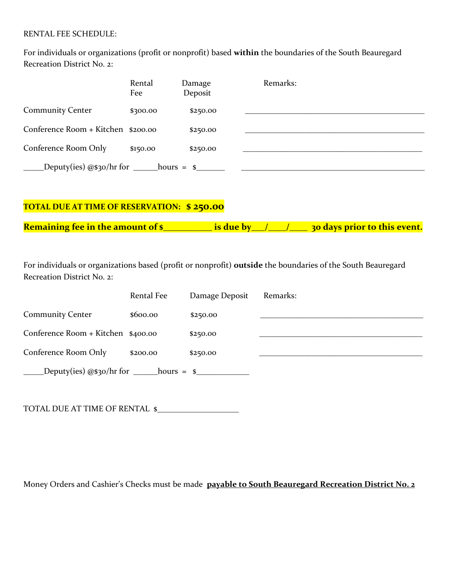## RENTAL FEE SCHEDULE:

For individuals or organizations (profit or nonprofit) based **within** the boundaries of the South Beauregard Recreation District No. 2:

|                                                    | Rental<br>Fee | Damage<br>Deposit | Remarks: |
|----------------------------------------------------|---------------|-------------------|----------|
| <b>Community Center</b>                            | \$300.00      | \$250.00          |          |
| Conference Room + Kitchen \$200.00                 |               | \$250.00          |          |
| Conference Room Only                               | \$150.00      | \$250.00          |          |
| Deputy(ies) $@s3o/hr$ for _______hours = \$_______ |               |                   |          |

## **TOTAL DUE AT TIME OF RESERVATION: \$ 250.00**

**Remaining fee in the amount of \$\_\_\_\_\_\_\_\_\_\_\_ is due by\_\_\_/\_\_\_\_/\_\_\_\_ 30 days prior to this event.**

For individuals or organizations based (profit or nonprofit) **outside** the boundaries of the South Beauregard Recreation District No. 2:

|                                    | Rental Fee | Damage Deposit | Remarks: |
|------------------------------------|------------|----------------|----------|
| <b>Community Center</b>            | \$600.00   | \$250.00       |          |
| Conference Room + Kitchen \$400.00 |            | \$250.00       |          |
| Conference Room Only               | \$200.00   | \$250.00       |          |
|                                    |            |                |          |

TOTAL DUE AT TIME OF RENTAL \$

Money Orders and Cashier's Checks must be made **payable to South Beauregard Recreation District No. 2**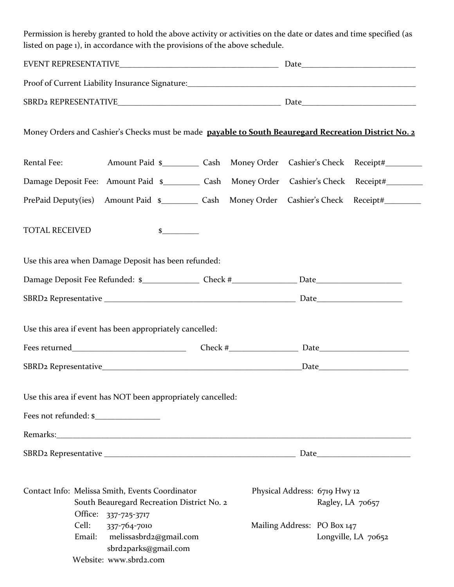Permission is hereby granted to hold the above activity or activities on the date or dates and time specified (as listed on page 1), in accordance with the provisions of the above schedule.

|                       |                                                                                                                                                                 |                     |                                                                                  | ${\it Date} \underline{\hspace{1cm}} \rule{2.2cm}{0.2cm} \underline{\hspace{1cm}}$ |
|-----------------------|-----------------------------------------------------------------------------------------------------------------------------------------------------------------|---------------------|----------------------------------------------------------------------------------|------------------------------------------------------------------------------------|
|                       |                                                                                                                                                                 |                     |                                                                                  |                                                                                    |
|                       |                                                                                                                                                                 |                     |                                                                                  |                                                                                    |
|                       | Money Orders and Cashier's Checks must be made payable to South Beauregard Recreation District No. 2                                                            |                     |                                                                                  |                                                                                    |
| Rental Fee:           | Amount Paid \$_____________ Cash Money Order Cashier's Check Receipt#____________                                                                               |                     |                                                                                  |                                                                                    |
|                       | Damage Deposit Fee: Amount Paid \$____________ Cash Money Order Cashier's Check Receipt#___________                                                             |                     |                                                                                  |                                                                                    |
|                       | PrePaid Deputy(ies) Amount Paid \$____________ Cash Money Order Cashier's Check Receipt#___________                                                             |                     |                                                                                  |                                                                                    |
| <b>TOTAL RECEIVED</b> |                                                                                                                                                                 | $\frac{\sim}{\sim}$ |                                                                                  |                                                                                    |
|                       | Use this area when Damage Deposit has been refunded:                                                                                                            |                     |                                                                                  |                                                                                    |
|                       |                                                                                                                                                                 |                     |                                                                                  |                                                                                    |
|                       |                                                                                                                                                                 |                     |                                                                                  |                                                                                    |
|                       | Use this area if event has been appropriately cancelled:                                                                                                        |                     |                                                                                  |                                                                                    |
|                       |                                                                                                                                                                 |                     |                                                                                  |                                                                                    |
|                       |                                                                                                                                                                 |                     |                                                                                  |                                                                                    |
|                       | Use this area if event has NOT been appropriately cancelled:                                                                                                    |                     |                                                                                  |                                                                                    |
| Fees not refunded: \$ |                                                                                                                                                                 |                     |                                                                                  |                                                                                    |
|                       |                                                                                                                                                                 |                     |                                                                                  |                                                                                    |
|                       |                                                                                                                                                                 |                     |                                                                                  |                                                                                    |
| Cell:<br>Email:       | Contact Info: Melissa Smith, Events Coordinator<br>South Beauregard Recreation District No. 2<br>Office: 337-725-3717<br>337-764-7010<br>melissasbrd2@gmail.com |                     | Physical Address: 6719 Hwy 12<br>Ragley, LA 70657<br>Mailing Address: PO Box 147 | Longville, LA 70652                                                                |
|                       | sbrd2parks@gmail.com<br>Website: www.sbrd2.com                                                                                                                  |                     |                                                                                  |                                                                                    |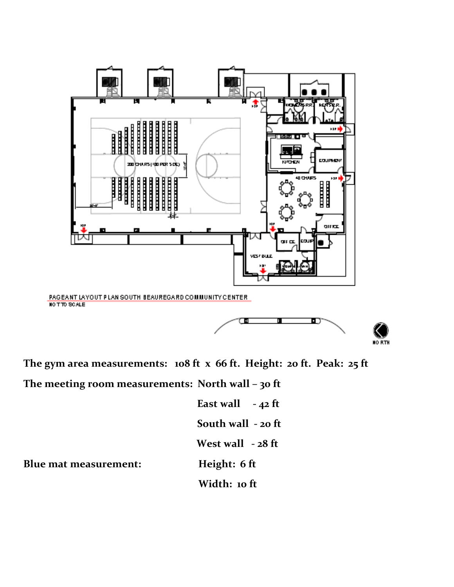

**The gym area measurements: 108 ft x 66 ft. Height: 20 ft. Peak: 25 ft**

**The meeting room measurements: North wall – 30 ft**

 **East wall - 42 ft South wall - 20 ft West wall - 28 ft Width: 10 ft**

**Blue mat measurement: Height: 6 ft**